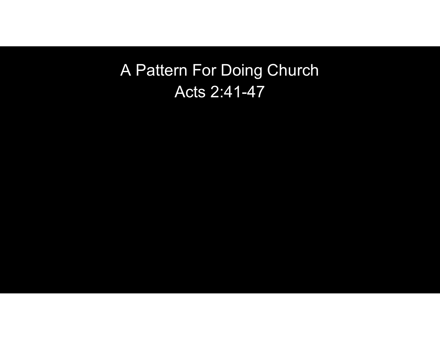## A Pattern For Doing Church Acts 2:41-47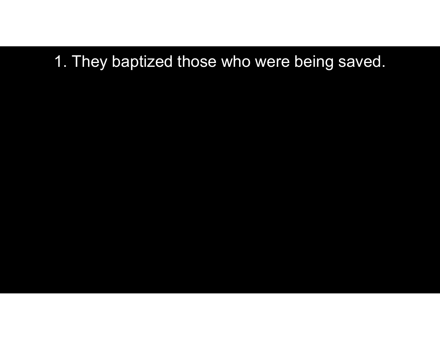# 1. They baptized those who were being saved.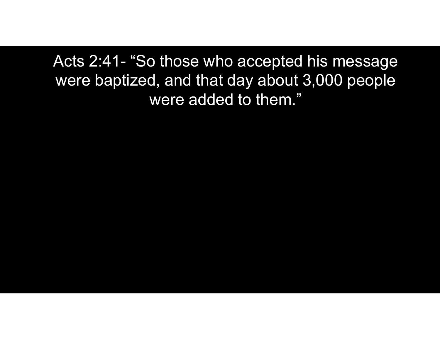Acts 2:41- "So those who accepted his message<br>were baptized, and that day about 3,000 people<br>were added to them " were baptized, and that day about 3,000 people were added to them."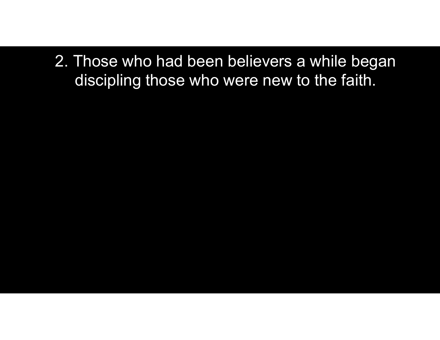2. Those who had been believers a while began discipling those who were new to the faith.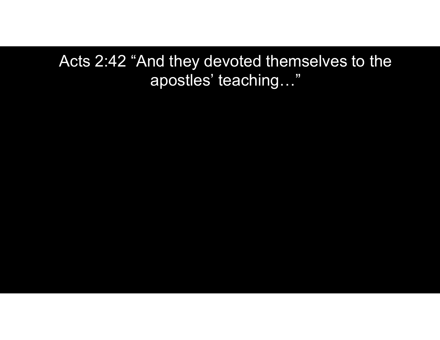Acts 2:42 "And they devoted themselves to the apostles' teaching…"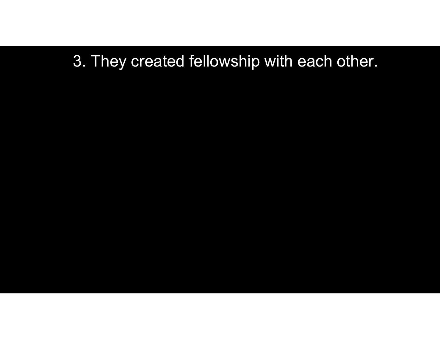#### 3. They created fellowship with each other.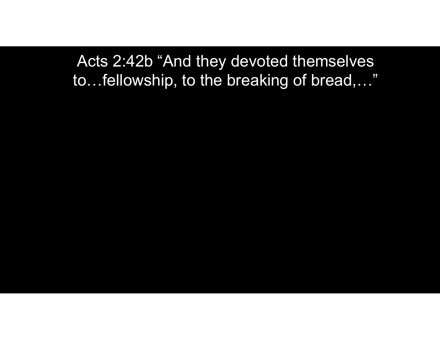Acts 2:42b "And they devoted themselves to…fellowship, to the breaking of bread,…"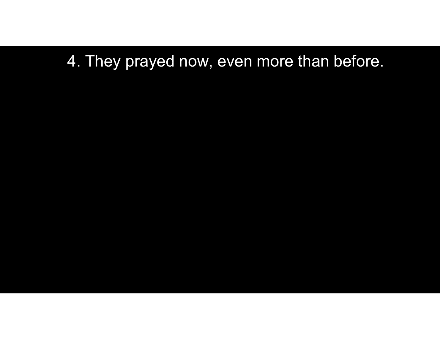#### 4. They prayed now, even more than before.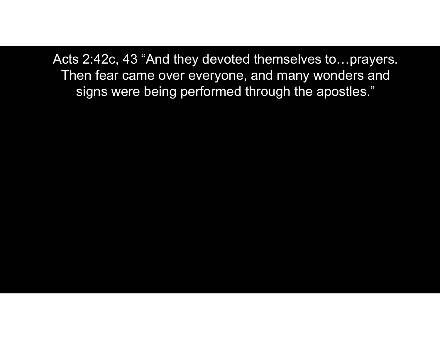Acts 2:42c, 43 "And they devoted themselves to…prayers. Then fear came over everyone, and many wonders and signs were being performed through the apostles."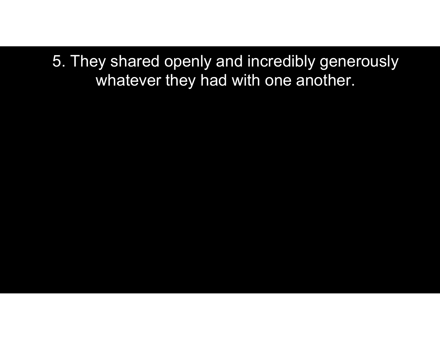5. They shared openly and incredibly generously whatever they had with one another.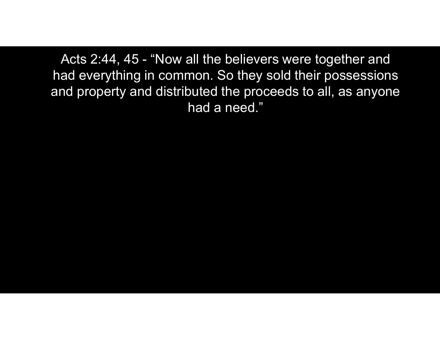Acts 2:44, 45 - "Now all the believers were together and<br>ad everything in common. So they sold their possessions<br>nd property and distributed the proceeds to all, as anyone had everything in common. So they sold their possessions and property and distributed the proceeds to all, as anyone had a need."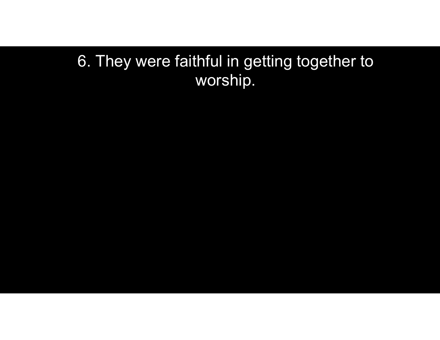#### 6. They were faithful in getting together to worship.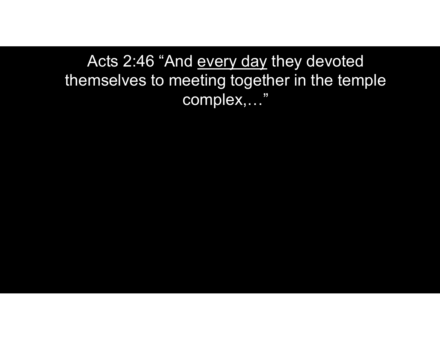Acts 2:46 "And <u>every day</u> they devoted<br>mselves to meeting together in the temple themselves to meeting together in the temple complex,…"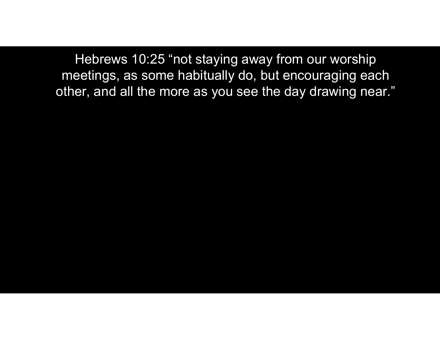Hebrews 10:25 "not staying away from our worship meetings, as some habitually do, but encouraging each other, and all the more as you see the day drawing near."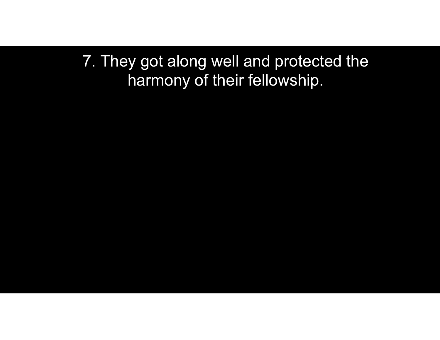7. They got along well and protected the harmony of their fellowship.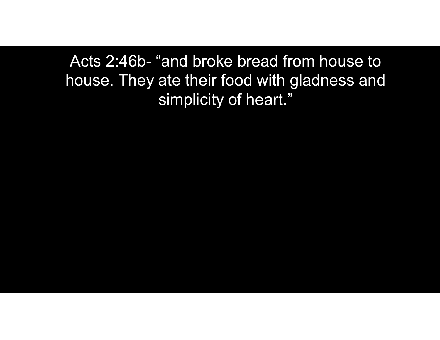Acts 2:46b- "and broke bread from house to<br>Nouse. They ate their food with gladness and house. They ate their food with gladness and simplicity of heart."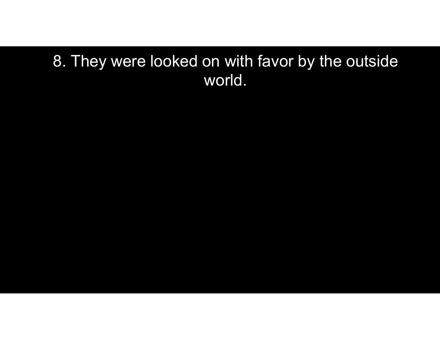#### 8. They were looked on with favor by the outside world.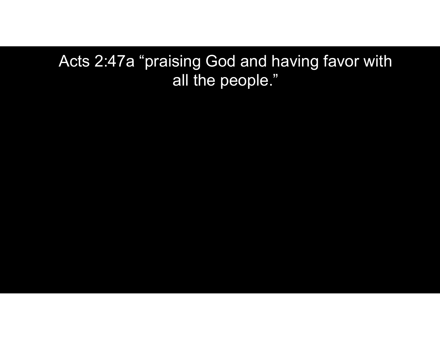Acts 2:47a "praising God and having favor with all the people."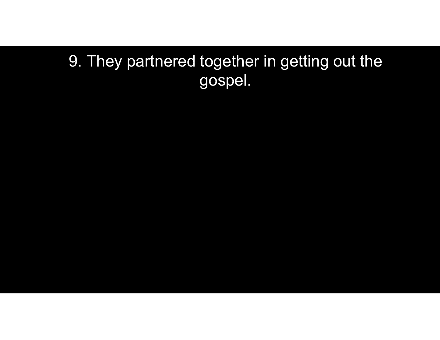### 9. They partnered together in getting out the gospel.